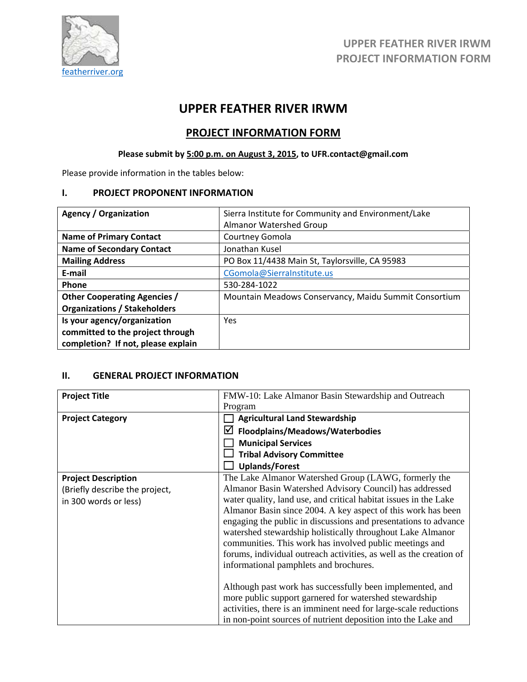

# **UPPER FEATHER RIVER IRWM**

## **PROJECT INFORMATION FORM**

# **Please submit by 5:00 p.m. on August 3, 2015, to UFR.contact@gmail.com**

Please provide information in the tables below:

#### **I. PROJECT PROPONENT INFORMATION**

| <b>Agency / Organization</b>        | Sierra Institute for Community and Environment/Lake   |  |  |
|-------------------------------------|-------------------------------------------------------|--|--|
|                                     | <b>Almanor Watershed Group</b>                        |  |  |
| <b>Name of Primary Contact</b>      | Courtney Gomola                                       |  |  |
| <b>Name of Secondary Contact</b>    | Jonathan Kusel                                        |  |  |
| <b>Mailing Address</b>              | PO Box 11/4438 Main St, Taylorsville, CA 95983        |  |  |
| E-mail                              | CGomola@SierraInstitute.us                            |  |  |
| Phone                               | 530-284-1022                                          |  |  |
| <b>Other Cooperating Agencies /</b> | Mountain Meadows Conservancy, Maidu Summit Consortium |  |  |
| <b>Organizations / Stakeholders</b> |                                                       |  |  |
| Is your agency/organization         | <b>Yes</b>                                            |  |  |
| committed to the project through    |                                                       |  |  |
| completion? If not, please explain  |                                                       |  |  |

#### **II. GENERAL PROJECT INFORMATION**

| <b>Project Title</b>           | FMW-10: Lake Almanor Basin Stewardship and Outreach                |  |  |
|--------------------------------|--------------------------------------------------------------------|--|--|
|                                | Program                                                            |  |  |
| <b>Project Category</b>        | <b>Agricultural Land Stewardship</b>                               |  |  |
|                                | ☑<br>Floodplains/Meadows/Waterbodies                               |  |  |
|                                | <b>Municipal Services</b>                                          |  |  |
|                                | <b>Tribal Advisory Committee</b>                                   |  |  |
|                                | <b>Uplands/Forest</b>                                              |  |  |
| <b>Project Description</b>     | The Lake Almanor Watershed Group (LAWG, formerly the               |  |  |
| (Briefly describe the project, | Almanor Basin Watershed Advisory Council) has addressed            |  |  |
| in 300 words or less)          | water quality, land use, and critical habitat issues in the Lake   |  |  |
|                                | Almanor Basin since 2004. A key aspect of this work has been       |  |  |
|                                | engaging the public in discussions and presentations to advance    |  |  |
|                                | watershed stewardship holistically throughout Lake Almanor         |  |  |
|                                | communities. This work has involved public meetings and            |  |  |
|                                | forums, individual outreach activities, as well as the creation of |  |  |
|                                | informational pamphlets and brochures.                             |  |  |
|                                | Although past work has successfully been implemented, and          |  |  |
|                                | more public support garnered for watershed stewardship             |  |  |
|                                | activities, there is an imminent need for large-scale reductions   |  |  |
|                                | in non-point sources of nutrient deposition into the Lake and      |  |  |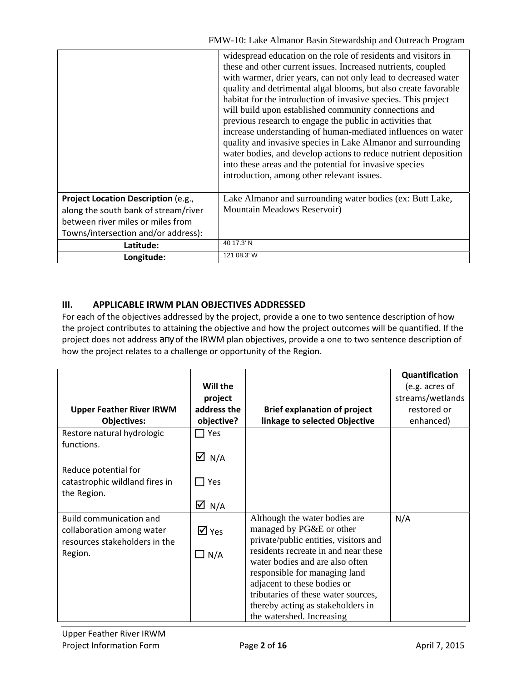|                                      | widespread education on the role of residents and visitors in<br>these and other current issues. Increased nutrients, coupled<br>with warmer, drier years, can not only lead to decreased water<br>quality and detrimental algal blooms, but also create favorable<br>habitat for the introduction of invasive species. This project<br>will build upon established community connections and<br>previous research to engage the public in activities that<br>increase understanding of human-mediated influences on water<br>quality and invasive species in Lake Almanor and surrounding<br>water bodies, and develop actions to reduce nutrient deposition<br>into these areas and the potential for invasive species<br>introduction, among other relevant issues. |
|--------------------------------------|------------------------------------------------------------------------------------------------------------------------------------------------------------------------------------------------------------------------------------------------------------------------------------------------------------------------------------------------------------------------------------------------------------------------------------------------------------------------------------------------------------------------------------------------------------------------------------------------------------------------------------------------------------------------------------------------------------------------------------------------------------------------|
|                                      |                                                                                                                                                                                                                                                                                                                                                                                                                                                                                                                                                                                                                                                                                                                                                                        |
| Project Location Description (e.g.,  | Lake Almanor and surrounding water bodies (ex: Butt Lake,                                                                                                                                                                                                                                                                                                                                                                                                                                                                                                                                                                                                                                                                                                              |
| along the south bank of stream/river | Mountain Meadows Reservoir)                                                                                                                                                                                                                                                                                                                                                                                                                                                                                                                                                                                                                                                                                                                                            |
| between river miles or miles from    |                                                                                                                                                                                                                                                                                                                                                                                                                                                                                                                                                                                                                                                                                                                                                                        |
| Towns/intersection and/or address):  |                                                                                                                                                                                                                                                                                                                                                                                                                                                                                                                                                                                                                                                                                                                                                                        |
| Latitude:                            | 40 17.3' N                                                                                                                                                                                                                                                                                                                                                                                                                                                                                                                                                                                                                                                                                                                                                             |
| Longitude:                           | 121 08.3' W                                                                                                                                                                                                                                                                                                                                                                                                                                                                                                                                                                                                                                                                                                                                                            |

### **III. APPLICABLE IRWM PLAN OBJECTIVES ADDRESSED**

For each of the objectives addressed by the project, provide a one to two sentence description of how the project contributes to attaining the objective and how the project outcomes will be quantified. If the project does not address *any* of the IRWM plan objectives, provide a one to two sentence description of how the project relates to a challenge or opportunity of the Region.

|                                 |                             |                                       | Quantification   |
|---------------------------------|-----------------------------|---------------------------------------|------------------|
|                                 | Will the                    |                                       | (e.g. acres of   |
|                                 | project                     |                                       | streams/wetlands |
| <b>Upper Feather River IRWM</b> | address the                 | <b>Brief explanation of project</b>   | restored or      |
| <b>Objectives:</b>              | objective?                  | linkage to selected Objective         | enhanced)        |
| Restore natural hydrologic      | Yes                         |                                       |                  |
| functions.                      |                             |                                       |                  |
|                                 | ☑<br>N/A                    |                                       |                  |
| Reduce potential for            |                             |                                       |                  |
| catastrophic wildland fires in  | <b>Yes</b>                  |                                       |                  |
| the Region.                     |                             |                                       |                  |
|                                 | $\overline{M}$ N/A          |                                       |                  |
| <b>Build communication and</b>  |                             | Although the water bodies are         | N/A              |
| collaboration among water       | $\overline{\mathsf{M}}$ Yes | managed by PG&E or other              |                  |
| resources stakeholders in the   |                             | private/public entities, visitors and |                  |
| Region.                         | $\Box$ N/A                  | residents recreate in and near these  |                  |
|                                 |                             | water bodies and are also often       |                  |
|                                 |                             | responsible for managing land         |                  |
|                                 |                             | adjacent to these bodies or           |                  |
|                                 |                             | tributaries of these water sources,   |                  |
|                                 |                             | thereby acting as stakeholders in     |                  |
|                                 |                             | the watershed. Increasing             |                  |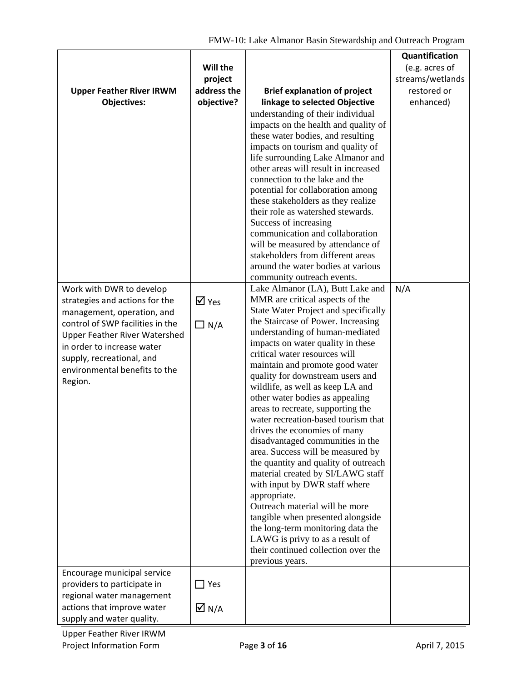|                                                                    |                             |                                                                           | Quantification   |
|--------------------------------------------------------------------|-----------------------------|---------------------------------------------------------------------------|------------------|
|                                                                    | Will the                    |                                                                           | (e.g. acres of   |
|                                                                    | project                     |                                                                           | streams/wetlands |
| <b>Upper Feather River IRWM</b>                                    | address the                 | <b>Brief explanation of project</b>                                       | restored or      |
| <b>Objectives:</b>                                                 | objective?                  | linkage to selected Objective                                             | enhanced)        |
|                                                                    |                             | understanding of their individual                                         |                  |
|                                                                    |                             | impacts on the health and quality of                                      |                  |
|                                                                    |                             | these water bodies, and resulting                                         |                  |
|                                                                    |                             | impacts on tourism and quality of                                         |                  |
|                                                                    |                             | life surrounding Lake Almanor and<br>other areas will result in increased |                  |
|                                                                    |                             | connection to the lake and the                                            |                  |
|                                                                    |                             | potential for collaboration among                                         |                  |
|                                                                    |                             | these stakeholders as they realize                                        |                  |
|                                                                    |                             | their role as watershed stewards.                                         |                  |
|                                                                    |                             | Success of increasing                                                     |                  |
|                                                                    |                             | communication and collaboration                                           |                  |
|                                                                    |                             | will be measured by attendance of                                         |                  |
|                                                                    |                             | stakeholders from different areas                                         |                  |
|                                                                    |                             | around the water bodies at various                                        |                  |
|                                                                    |                             | community outreach events.                                                |                  |
| Work with DWR to develop                                           |                             | Lake Almanor (LA), Butt Lake and                                          | N/A              |
| strategies and actions for the                                     | $\overline{\mathsf{M}}$ Yes | MMR are critical aspects of the<br>State Water Project and specifically   |                  |
| management, operation, and                                         |                             | the Staircase of Power. Increasing                                        |                  |
| control of SWP facilities in the                                   | $\Box$ N/A                  | understanding of human-mediated                                           |                  |
| <b>Upper Feather River Watershed</b><br>in order to increase water |                             | impacts on water quality in these                                         |                  |
| supply, recreational, and                                          |                             | critical water resources will                                             |                  |
| environmental benefits to the                                      |                             | maintain and promote good water                                           |                  |
| Region.                                                            |                             | quality for downstream users and                                          |                  |
|                                                                    |                             | wildlife, as well as keep LA and                                          |                  |
|                                                                    |                             | other water bodies as appealing                                           |                  |
|                                                                    |                             | areas to recreate, supporting the<br>water recreation-based tourism that  |                  |
|                                                                    |                             | drives the economies of many                                              |                  |
|                                                                    |                             | disadvantaged communities in the                                          |                  |
|                                                                    |                             | area. Success will be measured by                                         |                  |
|                                                                    |                             | the quantity and quality of outreach                                      |                  |
|                                                                    |                             | material created by SI/LAWG staff                                         |                  |
|                                                                    |                             | with input by DWR staff where                                             |                  |
|                                                                    |                             | appropriate.                                                              |                  |
|                                                                    |                             | Outreach material will be more                                            |                  |
|                                                                    |                             | tangible when presented alongside                                         |                  |
|                                                                    |                             | the long-term monitoring data the                                         |                  |
|                                                                    |                             | LAWG is privy to as a result of<br>their continued collection over the    |                  |
|                                                                    |                             | previous years.                                                           |                  |
| Encourage municipal service                                        |                             |                                                                           |                  |
| providers to participate in                                        | $\square$ Yes               |                                                                           |                  |
| regional water management                                          |                             |                                                                           |                  |
| actions that improve water                                         | $\overline{\triangle}$ N/A  |                                                                           |                  |
| supply and water quality.                                          |                             |                                                                           |                  |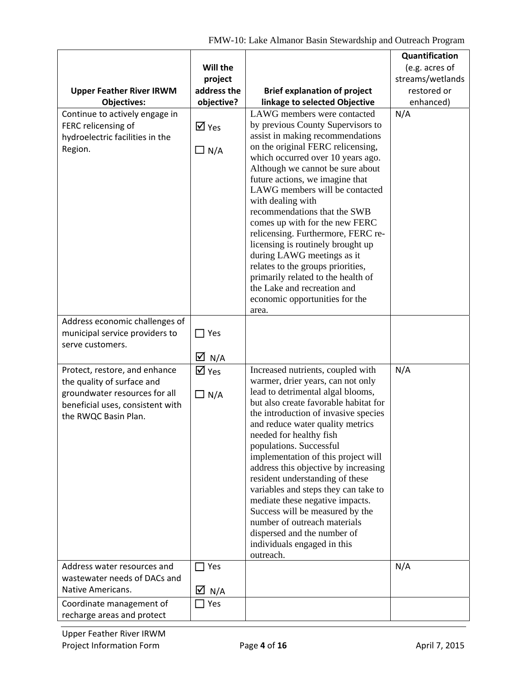|                                                                                                                                                          |                                           |                                                                                                                                                                                                                                                                                                                                                                                                                                                                                                                                                                                                                                   | Quantification   |
|----------------------------------------------------------------------------------------------------------------------------------------------------------|-------------------------------------------|-----------------------------------------------------------------------------------------------------------------------------------------------------------------------------------------------------------------------------------------------------------------------------------------------------------------------------------------------------------------------------------------------------------------------------------------------------------------------------------------------------------------------------------------------------------------------------------------------------------------------------------|------------------|
|                                                                                                                                                          | Will the                                  |                                                                                                                                                                                                                                                                                                                                                                                                                                                                                                                                                                                                                                   | (e.g. acres of   |
|                                                                                                                                                          | project                                   |                                                                                                                                                                                                                                                                                                                                                                                                                                                                                                                                                                                                                                   | streams/wetlands |
| <b>Upper Feather River IRWM</b>                                                                                                                          | address the                               | <b>Brief explanation of project</b>                                                                                                                                                                                                                                                                                                                                                                                                                                                                                                                                                                                               | restored or      |
| <b>Objectives:</b>                                                                                                                                       | objective?                                | linkage to selected Objective                                                                                                                                                                                                                                                                                                                                                                                                                                                                                                                                                                                                     | enhanced)        |
| Continue to actively engage in<br>FERC relicensing of<br>hydroelectric facilities in the<br>Region.                                                      | $\overline{M}$ Yes<br>$\Box$ N/A          | LAWG members were contacted<br>by previous County Supervisors to<br>assist in making recommendations<br>on the original FERC relicensing,<br>which occurred over 10 years ago.<br>Although we cannot be sure about<br>future actions, we imagine that<br>LAWG members will be contacted<br>with dealing with<br>recommendations that the SWB<br>comes up with for the new FERC<br>relicensing. Furthermore, FERC re-<br>licensing is routinely brought up<br>during LAWG meetings as it                                                                                                                                           | N/A              |
| Address economic challenges of                                                                                                                           |                                           | relates to the groups priorities,<br>primarily related to the health of<br>the Lake and recreation and<br>economic opportunities for the<br>area.                                                                                                                                                                                                                                                                                                                                                                                                                                                                                 |                  |
| municipal service providers to<br>serve customers.                                                                                                       | $\Box$ Yes<br>$\overline{\Delta}$ N/A     |                                                                                                                                                                                                                                                                                                                                                                                                                                                                                                                                                                                                                                   |                  |
| Protect, restore, and enhance<br>the quality of surface and<br>groundwater resources for all<br>beneficial uses, consistent with<br>the RWQC Basin Plan. | $\overline{\mathsf{M}}$ Yes<br>$\Box$ N/A | Increased nutrients, coupled with<br>warmer, drier years, can not only<br>lead to detrimental algal blooms,<br>but also create favorable habitat for<br>the introduction of invasive species<br>and reduce water quality metrics<br>needed for healthy fish<br>populations. Successful<br>implementation of this project will<br>address this objective by increasing<br>resident understanding of these<br>variables and steps they can take to<br>mediate these negative impacts.<br>Success will be measured by the<br>number of outreach materials<br>dispersed and the number of<br>individuals engaged in this<br>outreach. | N/A              |
| Address water resources and<br>wastewater needs of DACs and<br>Native Americans.                                                                         | $\Box$ Yes                                |                                                                                                                                                                                                                                                                                                                                                                                                                                                                                                                                                                                                                                   | N/A              |
|                                                                                                                                                          | $\overline{M}$ N/A                        |                                                                                                                                                                                                                                                                                                                                                                                                                                                                                                                                                                                                                                   |                  |
| Coordinate management of<br>recharge areas and protect                                                                                                   | Yes                                       |                                                                                                                                                                                                                                                                                                                                                                                                                                                                                                                                                                                                                                   |                  |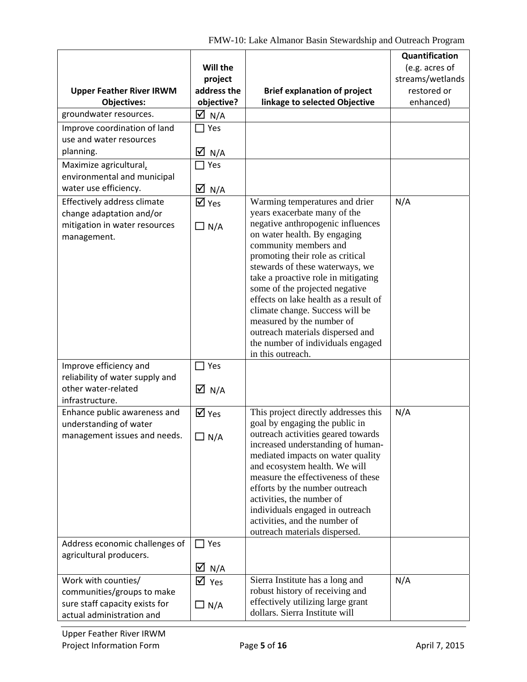|                                                           |                             |                                                                         | Quantification   |
|-----------------------------------------------------------|-----------------------------|-------------------------------------------------------------------------|------------------|
|                                                           | Will the                    |                                                                         | (e.g. acres of   |
|                                                           | project                     |                                                                         | streams/wetlands |
| <b>Upper Feather River IRWM</b>                           | address the                 | <b>Brief explanation of project</b>                                     | restored or      |
| <b>Objectives:</b>                                        | objective?                  | linkage to selected Objective                                           | enhanced)        |
| groundwater resources.                                    | $\overline{M}$ N/A          |                                                                         |                  |
| Improve coordination of land                              | $\sqsupset$ Yes             |                                                                         |                  |
| use and water resources                                   |                             |                                                                         |                  |
| planning.                                                 | $\overline{\Delta}$ N/A     |                                                                         |                  |
| Maximize agricultural,                                    | Yes                         |                                                                         |                  |
| environmental and municipal                               |                             |                                                                         |                  |
| water use efficiency.                                     | $\overline{M}$ N/A          |                                                                         |                  |
| Effectively address climate                               | $\overline{\mathsf{M}}$ Yes | Warming temperatures and drier                                          | N/A              |
| change adaptation and/or                                  |                             | years exacerbate many of the                                            |                  |
| mitigation in water resources                             | $\Box$ N/A                  | negative anthropogenic influences                                       |                  |
| management.                                               |                             | on water health. By engaging<br>community members and                   |                  |
|                                                           |                             | promoting their role as critical                                        |                  |
|                                                           |                             | stewards of these waterways, we                                         |                  |
|                                                           |                             | take a proactive role in mitigating                                     |                  |
|                                                           |                             | some of the projected negative                                          |                  |
|                                                           |                             | effects on lake health as a result of                                   |                  |
|                                                           |                             | climate change. Success will be                                         |                  |
|                                                           |                             | measured by the number of                                               |                  |
|                                                           |                             | outreach materials dispersed and<br>the number of individuals engaged   |                  |
|                                                           |                             | in this outreach.                                                       |                  |
| Improve efficiency and                                    | $\exists$ Yes               |                                                                         |                  |
| reliability of water supply and                           |                             |                                                                         |                  |
| other water-related                                       | $\overline{\Delta}$ N/A     |                                                                         |                  |
| infrastructure.                                           |                             |                                                                         |                  |
| Enhance public awareness and                              | $\overline{M}$ Yes          | This project directly addresses this                                    | N/A              |
| understanding of water                                    |                             | goal by engaging the public in                                          |                  |
| management issues and needs.                              | $\Box$ N/A                  | outreach activities geared towards<br>increased understanding of human- |                  |
|                                                           |                             | mediated impacts on water quality                                       |                  |
|                                                           |                             | and ecosystem health. We will                                           |                  |
|                                                           |                             | measure the effectiveness of these                                      |                  |
|                                                           |                             | efforts by the number outreach                                          |                  |
|                                                           |                             | activities, the number of                                               |                  |
|                                                           |                             | individuals engaged in outreach                                         |                  |
|                                                           |                             | activities, and the number of                                           |                  |
|                                                           | $\Box$ Yes                  | outreach materials dispersed.                                           |                  |
| Address economic challenges of<br>agricultural producers. |                             |                                                                         |                  |
|                                                           | $\boxtimes$ N/A             |                                                                         |                  |
| Work with counties/                                       |                             | Sierra Institute has a long and                                         | N/A              |
| communities/groups to make                                | $\triangledown$ Yes         | robust history of receiving and                                         |                  |
| sure staff capacity exists for                            | $\Box$ N/A                  | effectively utilizing large grant                                       |                  |
| actual administration and                                 |                             | dollars. Sierra Institute will                                          |                  |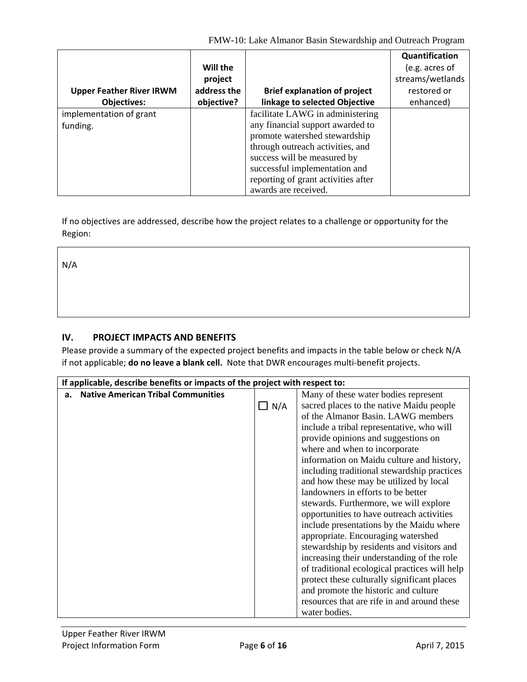FMW-10: Lake Almanor Basin Stewardship and Outreach Program

|                                 |             |                                     | Quantification   |
|---------------------------------|-------------|-------------------------------------|------------------|
|                                 | Will the    |                                     | (e.g. acres of   |
|                                 | project     |                                     | streams/wetlands |
| <b>Upper Feather River IRWM</b> | address the | <b>Brief explanation of project</b> | restored or      |
| <b>Objectives:</b>              | objective?  | linkage to selected Objective       | enhanced)        |
| implementation of grant         |             | facilitate LAWG in administering    |                  |
| funding.                        |             | any financial support awarded to    |                  |
|                                 |             | promote watershed stewardship       |                  |
|                                 |             | through outreach activities, and    |                  |
|                                 |             | success will be measured by         |                  |
|                                 |             | successful implementation and       |                  |
|                                 |             | reporting of grant activities after |                  |
|                                 |             | awards are received.                |                  |

If no objectives are addressed, describe how the project relates to a challenge or opportunity for the Region:

N/A

## **IV. PROJECT IMPACTS AND BENEFITS**

Please provide a summary of the expected project benefits and impacts in the table below or check N/A if not applicable; **do no leave a blank cell.** Note that DWR encourages multi‐benefit projects.

|                                                 | If applicable, describe benefits or impacts of the project with respect to: |                                               |  |
|-------------------------------------------------|-----------------------------------------------------------------------------|-----------------------------------------------|--|
| <b>Native American Tribal Communities</b><br>а. |                                                                             | Many of these water bodies represent          |  |
|                                                 | $\Box$ N/A                                                                  | sacred places to the native Maidu people      |  |
|                                                 |                                                                             | of the Almanor Basin. LAWG members            |  |
|                                                 |                                                                             | include a tribal representative, who will     |  |
|                                                 |                                                                             | provide opinions and suggestions on           |  |
|                                                 |                                                                             | where and when to incorporate                 |  |
|                                                 |                                                                             | information on Maidu culture and history,     |  |
|                                                 |                                                                             | including traditional stewardship practices   |  |
|                                                 |                                                                             | and how these may be utilized by local        |  |
|                                                 |                                                                             | landowners in efforts to be better            |  |
|                                                 |                                                                             | stewards. Furthermore, we will explore        |  |
|                                                 |                                                                             | opportunities to have outreach activities     |  |
|                                                 |                                                                             | include presentations by the Maidu where      |  |
|                                                 |                                                                             | appropriate. Encouraging watershed            |  |
|                                                 |                                                                             | stewardship by residents and visitors and     |  |
|                                                 |                                                                             | increasing their understanding of the role    |  |
|                                                 |                                                                             | of traditional ecological practices will help |  |
|                                                 |                                                                             | protect these culturally significant places   |  |
|                                                 |                                                                             | and promote the historic and culture          |  |
|                                                 |                                                                             | resources that are rife in and around these   |  |
|                                                 |                                                                             | water bodies.                                 |  |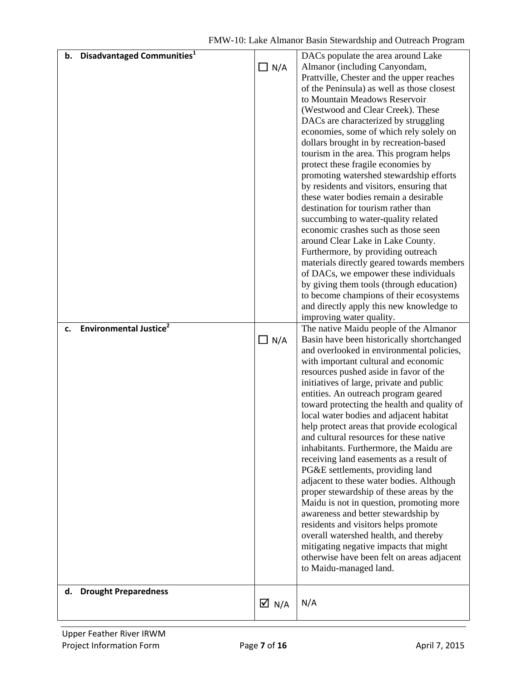| b. Disadvantaged Communities <sup>1</sup>       | $\Box$ N/A         | DACs populate the area around Lake<br>Almanor (including Canyondam,<br>Prattville, Chester and the upper reaches<br>of the Peninsula) as well as those closest<br>to Mountain Meadows Reservoir<br>(Westwood and Clear Creek). These<br>DACs are characterized by struggling<br>economies, some of which rely solely on<br>dollars brought in by recreation-based<br>tourism in the area. This program helps<br>protect these fragile economies by<br>promoting watershed stewardship efforts<br>by residents and visitors, ensuring that<br>these water bodies remain a desirable<br>destination for tourism rather than<br>succumbing to water-quality related<br>economic crashes such as those seen<br>around Clear Lake in Lake County.<br>Furthermore, by providing outreach<br>materials directly geared towards members<br>of DACs, we empower these individuals<br>by giving them tools (through education)<br>to become champions of their ecosystems<br>and directly apply this new knowledge to<br>improving water quality. |
|-------------------------------------------------|--------------------|-----------------------------------------------------------------------------------------------------------------------------------------------------------------------------------------------------------------------------------------------------------------------------------------------------------------------------------------------------------------------------------------------------------------------------------------------------------------------------------------------------------------------------------------------------------------------------------------------------------------------------------------------------------------------------------------------------------------------------------------------------------------------------------------------------------------------------------------------------------------------------------------------------------------------------------------------------------------------------------------------------------------------------------------|
| <b>Environmental Justice</b> <sup>2</sup><br>c. |                    | The native Maidu people of the Almanor                                                                                                                                                                                                                                                                                                                                                                                                                                                                                                                                                                                                                                                                                                                                                                                                                                                                                                                                                                                                  |
|                                                 | $\Box$ N/A         | Basin have been historically shortchanged<br>and overlooked in environmental policies,<br>with important cultural and economic<br>resources pushed aside in favor of the<br>initiatives of large, private and public<br>entities. An outreach program geared<br>toward protecting the health and quality of<br>local water bodies and adjacent habitat<br>help protect areas that provide ecological<br>and cultural resources for these native<br>inhabitants. Furthermore, the Maidu are<br>receiving land easements as a result of<br>PG&E settlements, providing land<br>adjacent to these water bodies. Although<br>proper stewardship of these areas by the<br>Maidu is not in question, promoting more<br>awareness and better stewardship by<br>residents and visitors helps promote<br>overall watershed health, and thereby<br>mitigating negative impacts that might<br>otherwise have been felt on areas adjacent<br>to Maidu-managed land.                                                                                 |
| <b>Drought Preparedness</b><br>d.               |                    |                                                                                                                                                                                                                                                                                                                                                                                                                                                                                                                                                                                                                                                                                                                                                                                                                                                                                                                                                                                                                                         |
|                                                 | $\overline{M}$ N/A | N/A                                                                                                                                                                                                                                                                                                                                                                                                                                                                                                                                                                                                                                                                                                                                                                                                                                                                                                                                                                                                                                     |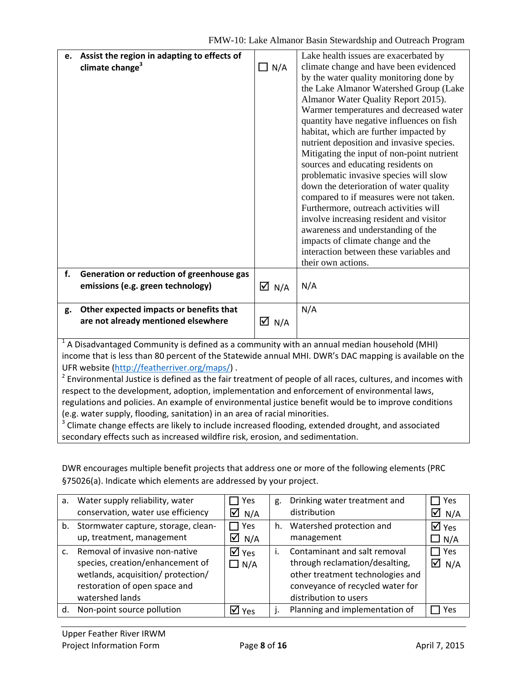|    | e. Assist the region in adapting to effects of<br>climate change <sup>3</sup>                  | $\Box$ N/A                  | Lake health issues are exacerbated by<br>climate change and have been evidenced<br>by the water quality monitoring done by<br>the Lake Almanor Watershed Group (Lake<br>Almanor Water Quality Report 2015).<br>Warmer temperatures and decreased water<br>quantity have negative influences on fish<br>habitat, which are further impacted by<br>nutrient deposition and invasive species.<br>Mitigating the input of non-point nutrient<br>sources and educating residents on<br>problematic invasive species will slow<br>down the deterioration of water quality<br>compared to if measures were not taken.<br>Furthermore, outreach activities will<br>involve increasing resident and visitor<br>awareness and understanding of the<br>impacts of climate change and the<br>interaction between these variables and<br>their own actions. |
|----|------------------------------------------------------------------------------------------------|-----------------------------|------------------------------------------------------------------------------------------------------------------------------------------------------------------------------------------------------------------------------------------------------------------------------------------------------------------------------------------------------------------------------------------------------------------------------------------------------------------------------------------------------------------------------------------------------------------------------------------------------------------------------------------------------------------------------------------------------------------------------------------------------------------------------------------------------------------------------------------------|
| f. | Generation or reduction of greenhouse gas                                                      |                             |                                                                                                                                                                                                                                                                                                                                                                                                                                                                                                                                                                                                                                                                                                                                                                                                                                                |
|    | emissions (e.g. green technology)                                                              | $\overline{\mathsf{M}}$ N/A | N/A                                                                                                                                                                                                                                                                                                                                                                                                                                                                                                                                                                                                                                                                                                                                                                                                                                            |
|    |                                                                                                |                             |                                                                                                                                                                                                                                                                                                                                                                                                                                                                                                                                                                                                                                                                                                                                                                                                                                                |
| g. | Other expected impacts or benefits that                                                        |                             | N/A                                                                                                                                                                                                                                                                                                                                                                                                                                                                                                                                                                                                                                                                                                                                                                                                                                            |
|    | are not already mentioned elsewhere                                                            | $\boxtimes$ N/A             |                                                                                                                                                                                                                                                                                                                                                                                                                                                                                                                                                                                                                                                                                                                                                                                                                                                |
|    | $14$ A Disadvantaged Community is defined as a community with an annual median household (MHI) |                             |                                                                                                                                                                                                                                                                                                                                                                                                                                                                                                                                                                                                                                                                                                                                                                                                                                                |

 $<sup>1</sup>$  A Disadvantaged Community is defined as a community with an annual median household (MHI)</sup> income that is less than 80 percent of the Statewide annual MHI. DWR's DAC mapping is available on the UFR website (http://featherriver.org/maps/) .

 $2$  Environmental Justice is defined as the fair treatment of people of all races, cultures, and incomes with respect to the development, adoption, implementation and enforcement of environmental laws, regulations and policies. An example of environmental justice benefit would be to improve conditions (e.g. water supply, flooding, sanitation) in an area of racial minorities.

<sup>3</sup> Climate change effects are likely to include increased flooding, extended drought, and associated secondary effects such as increased wildfire risk, erosion, and sedimentation.

DWR encourages multiple benefit projects that address one or more of the following elements (PRC §75026(a). Indicate which elements are addressed by your project.

| a.           | Water supply reliability, water<br>conservation, water use efficiency                                                                                        | Yes<br>$\overline{M}$ N/A                     | g. | Drinking water treatment and<br>distribution                                                                                                                    | $\Box$ Yes<br>$\overline{\Delta}$ N/A     |
|--------------|--------------------------------------------------------------------------------------------------------------------------------------------------------------|-----------------------------------------------|----|-----------------------------------------------------------------------------------------------------------------------------------------------------------------|-------------------------------------------|
|              | b. Stormwater capture, storage, clean-<br>up, treatment, management                                                                                          | $\sqsupset$ Yes<br>$\overline{\triangle}$ N/A | h. | Watershed protection and<br>management                                                                                                                          | $\overline{\mathsf{M}}$ Yes<br>$\Box$ N/A |
| $\mathsf{C}$ | Removal of invasive non-native<br>species, creation/enhancement of<br>wetlands, acquisition/ protection/<br>restoration of open space and<br>watershed lands | $\overline{\mathsf{M}}$ Yes<br>$\Box N/A$     |    | Contaminant and salt removal<br>through reclamation/desalting,<br>other treatment technologies and<br>conveyance of recycled water for<br>distribution to users | Yes<br>$\overline{M}$ N/A                 |
| d.           | Non-point source pollution                                                                                                                                   | $\overline{\mathsf{M}}$ Yes                   |    | Planning and implementation of                                                                                                                                  | Yes                                       |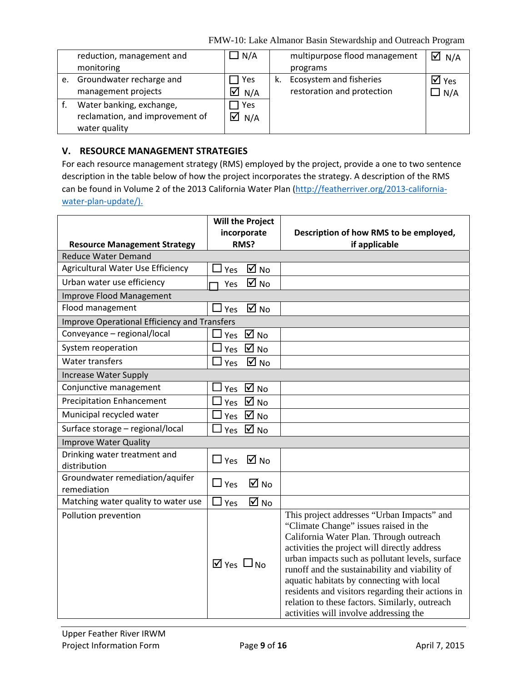FMW-10: Lake Almanor Basin Stewardship and Outreach Program

|    | reduction, management and       | ] N/A              |    | multipurpose flood management | $\overline{\triangle}$ N/A |
|----|---------------------------------|--------------------|----|-------------------------------|----------------------------|
|    | monitoring                      |                    |    | programs                      |                            |
| e. | Groundwater recharge and        | Yes                | k. | Ecosystem and fisheries       | $\boxtimes$ Yes            |
|    | management projects             | $\overline{M}$ N/A |    | restoration and protection    | $\Box$ N/A                 |
|    | Water banking, exchange,        | Yes                |    |                               |                            |
|    | reclamation, and improvement of | $\overline{M}$ N/A |    |                               |                            |
|    | water quality                   |                    |    |                               |                            |

### **V. RESOURCE MANAGEMENT STRATEGIES**

For each resource management strategy (RMS) employed by the project, provide a one to two sentence description in the table below of how the project incorporates the strategy. A description of the RMS can be found in Volume 2 of the 2013 California Water Plan (http://featherriver.org/2013-californiawater-plan-update/).

|                                                | <b>Will the Project</b>               |                                                                                                                                                                                                                                                                                                                                                                                                                                                                                   |
|------------------------------------------------|---------------------------------------|-----------------------------------------------------------------------------------------------------------------------------------------------------------------------------------------------------------------------------------------------------------------------------------------------------------------------------------------------------------------------------------------------------------------------------------------------------------------------------------|
|                                                | incorporate                           | Description of how RMS to be employed,                                                                                                                                                                                                                                                                                                                                                                                                                                            |
| <b>Resource Management Strategy</b>            | RMS?                                  | if applicable                                                                                                                                                                                                                                                                                                                                                                                                                                                                     |
| <b>Reduce Water Demand</b>                     |                                       |                                                                                                                                                                                                                                                                                                                                                                                                                                                                                   |
| Agricultural Water Use Efficiency              | ☑<br><b>No</b><br>Yes                 |                                                                                                                                                                                                                                                                                                                                                                                                                                                                                   |
| Urban water use efficiency                     | ☑<br><b>No</b><br>Yes                 |                                                                                                                                                                                                                                                                                                                                                                                                                                                                                   |
| Improve Flood Management                       |                                       |                                                                                                                                                                                                                                                                                                                                                                                                                                                                                   |
| Flood management                               | $\overline{M}$ No<br>Yes              |                                                                                                                                                                                                                                                                                                                                                                                                                                                                                   |
| Improve Operational Efficiency and Transfers   |                                       |                                                                                                                                                                                                                                                                                                                                                                                                                                                                                   |
| Conveyance - regional/local                    | $\overline{\mathsf{M}}$ No<br>Yes     |                                                                                                                                                                                                                                                                                                                                                                                                                                                                                   |
| System reoperation                             | $\overline{M}$ No<br>Yes              |                                                                                                                                                                                                                                                                                                                                                                                                                                                                                   |
| <b>Water transfers</b>                         | $\boxtimes$ No<br>Yes                 |                                                                                                                                                                                                                                                                                                                                                                                                                                                                                   |
| <b>Increase Water Supply</b>                   |                                       |                                                                                                                                                                                                                                                                                                                                                                                                                                                                                   |
| Conjunctive management                         | $\overline{M}$ No<br>Yes              |                                                                                                                                                                                                                                                                                                                                                                                                                                                                                   |
| <b>Precipitation Enhancement</b>               | $\boxtimes$ No<br>Yes                 |                                                                                                                                                                                                                                                                                                                                                                                                                                                                                   |
| Municipal recycled water                       | $\overline{\mathsf{M}}$ No<br>Yes     |                                                                                                                                                                                                                                                                                                                                                                                                                                                                                   |
| Surface storage - regional/local               | $\overline{\mathsf{M}}$ No<br>Yes     |                                                                                                                                                                                                                                                                                                                                                                                                                                                                                   |
| <b>Improve Water Quality</b>                   |                                       |                                                                                                                                                                                                                                                                                                                                                                                                                                                                                   |
| Drinking water treatment and<br>distribution   | $\Box$ Yes<br>$\boxtimes$ No          |                                                                                                                                                                                                                                                                                                                                                                                                                                                                                   |
| Groundwater remediation/aquifer<br>remediation | $\overline{M}$ No<br>$\Box$ Yes       |                                                                                                                                                                                                                                                                                                                                                                                                                                                                                   |
| Matching water quality to water use            | $\boxtimes$ No<br>Yes                 |                                                                                                                                                                                                                                                                                                                                                                                                                                                                                   |
| Pollution prevention                           | $\overline{\mathsf{M}}$ Yes $\Box$ No | This project addresses "Urban Impacts" and<br>"Climate Change" issues raised in the<br>California Water Plan. Through outreach<br>activities the project will directly address<br>urban impacts such as pollutant levels, surface<br>runoff and the sustainability and viability of<br>aquatic habitats by connecting with local<br>residents and visitors regarding their actions in<br>relation to these factors. Similarly, outreach<br>activities will involve addressing the |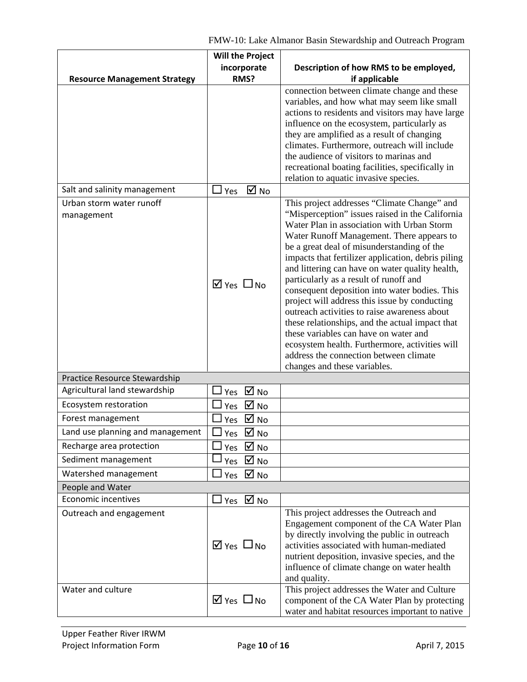FMW-10: Lake Almanor Basin Stewardship and Outreach Program

|                                        | <b>Will the Project</b>               |                                                                                                                                                                                                                                                                                                                                                                                                                                                                                                                                                                                                                                                                                                                                                                      |
|----------------------------------------|---------------------------------------|----------------------------------------------------------------------------------------------------------------------------------------------------------------------------------------------------------------------------------------------------------------------------------------------------------------------------------------------------------------------------------------------------------------------------------------------------------------------------------------------------------------------------------------------------------------------------------------------------------------------------------------------------------------------------------------------------------------------------------------------------------------------|
|                                        | incorporate                           | Description of how RMS to be employed,                                                                                                                                                                                                                                                                                                                                                                                                                                                                                                                                                                                                                                                                                                                               |
| <b>Resource Management Strategy</b>    | RMS?                                  | if applicable                                                                                                                                                                                                                                                                                                                                                                                                                                                                                                                                                                                                                                                                                                                                                        |
|                                        |                                       | connection between climate change and these<br>variables, and how what may seem like small<br>actions to residents and visitors may have large<br>influence on the ecosystem, particularly as<br>they are amplified as a result of changing<br>climates. Furthermore, outreach will include<br>the audience of visitors to marinas and<br>recreational boating facilities, specifically in<br>relation to aquatic invasive species.                                                                                                                                                                                                                                                                                                                                  |
| Salt and salinity management           | $\overline{M}$ No<br>$\sqcup$ Yes     |                                                                                                                                                                                                                                                                                                                                                                                                                                                                                                                                                                                                                                                                                                                                                                      |
| Urban storm water runoff<br>management | $\overline{M}$ Yes $\Box$ No          | This project addresses "Climate Change" and<br>"Misperception" issues raised in the California<br>Water Plan in association with Urban Storm<br>Water Runoff Management. There appears to<br>be a great deal of misunderstanding of the<br>impacts that fertilizer application, debris piling<br>and littering can have on water quality health,<br>particularly as a result of runoff and<br>consequent deposition into water bodies. This<br>project will address this issue by conducting<br>outreach activities to raise awareness about<br>these relationships, and the actual impact that<br>these variables can have on water and<br>ecosystem health. Furthermore, activities will<br>address the connection between climate<br>changes and these variables. |
| Practice Resource Stewardship          |                                       |                                                                                                                                                                                                                                                                                                                                                                                                                                                                                                                                                                                                                                                                                                                                                                      |
| Agricultural land stewardship          | $\overline{M}$ No<br>Yes              |                                                                                                                                                                                                                                                                                                                                                                                                                                                                                                                                                                                                                                                                                                                                                                      |
| Ecosystem restoration                  | $\overline{\mathsf{M}}$ No<br>Yes     |                                                                                                                                                                                                                                                                                                                                                                                                                                                                                                                                                                                                                                                                                                                                                                      |
| Forest management                      | $\boxtimes$ No<br>Yes                 |                                                                                                                                                                                                                                                                                                                                                                                                                                                                                                                                                                                                                                                                                                                                                                      |
| Land use planning and management       | $\boxtimes$ No<br>Yes                 |                                                                                                                                                                                                                                                                                                                                                                                                                                                                                                                                                                                                                                                                                                                                                                      |
| Recharge area protection               | $\overline{\mathsf{M}}$ No<br>Yes     |                                                                                                                                                                                                                                                                                                                                                                                                                                                                                                                                                                                                                                                                                                                                                                      |
| Sediment management                    | $\overline{\mathsf{M}}$ No<br>Yes     |                                                                                                                                                                                                                                                                                                                                                                                                                                                                                                                                                                                                                                                                                                                                                                      |
| Watershed management                   | $\overline{M}$ No<br>Yes              |                                                                                                                                                                                                                                                                                                                                                                                                                                                                                                                                                                                                                                                                                                                                                                      |
| People and Water                       |                                       |                                                                                                                                                                                                                                                                                                                                                                                                                                                                                                                                                                                                                                                                                                                                                                      |
| <b>Economic incentives</b>             | $\exists$ Yes $\,\boxdot$ No          |                                                                                                                                                                                                                                                                                                                                                                                                                                                                                                                                                                                                                                                                                                                                                                      |
| Outreach and engagement                | $\overline{\mathsf{M}}$ Yes $\Box$ No | This project addresses the Outreach and<br>Engagement component of the CA Water Plan<br>by directly involving the public in outreach<br>activities associated with human-mediated<br>nutrient deposition, invasive species, and the<br>influence of climate change on water health<br>and quality.                                                                                                                                                                                                                                                                                                                                                                                                                                                                   |
| Water and culture                      | $\boxtimes$ Yes $\Box$ No             | This project addresses the Water and Culture<br>component of the CA Water Plan by protecting<br>water and habitat resources important to native                                                                                                                                                                                                                                                                                                                                                                                                                                                                                                                                                                                                                      |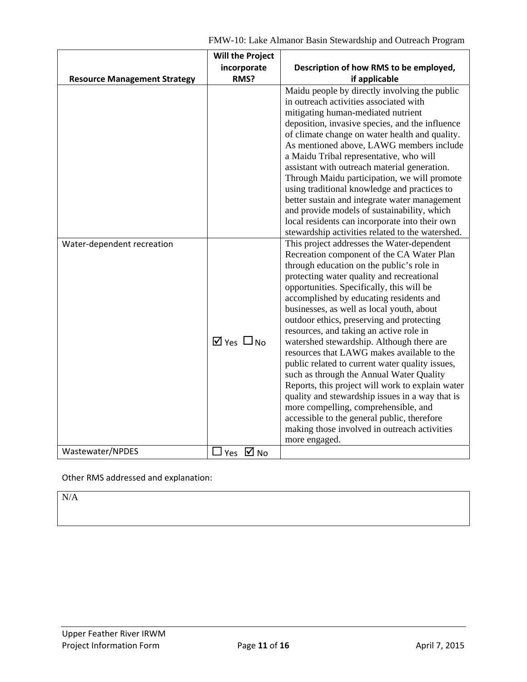|                                     | <b>Will the Project</b>      |                                                                                                                                                                                                                                                                                                                                                                                                                                                                                                                                                                                                                                                                                                                                                                                                                                                                                                                             |
|-------------------------------------|------------------------------|-----------------------------------------------------------------------------------------------------------------------------------------------------------------------------------------------------------------------------------------------------------------------------------------------------------------------------------------------------------------------------------------------------------------------------------------------------------------------------------------------------------------------------------------------------------------------------------------------------------------------------------------------------------------------------------------------------------------------------------------------------------------------------------------------------------------------------------------------------------------------------------------------------------------------------|
|                                     | incorporate                  | Description of how RMS to be employed,                                                                                                                                                                                                                                                                                                                                                                                                                                                                                                                                                                                                                                                                                                                                                                                                                                                                                      |
| <b>Resource Management Strategy</b> | RMS?                         | if applicable                                                                                                                                                                                                                                                                                                                                                                                                                                                                                                                                                                                                                                                                                                                                                                                                                                                                                                               |
|                                     |                              | Maidu people by directly involving the public<br>in outreach activities associated with<br>mitigating human-mediated nutrient<br>deposition, invasive species, and the influence<br>of climate change on water health and quality.<br>As mentioned above, LAWG members include<br>a Maidu Tribal representative, who will<br>assistant with outreach material generation.<br>Through Maidu participation, we will promote<br>using traditional knowledge and practices to<br>better sustain and integrate water management<br>and provide models of sustainability, which<br>local residents can incorporate into their own                                                                                                                                                                                                                                                                                                 |
| Water-dependent recreation          | $\overline{M}$ Yes $\Box$ No | stewardship activities related to the watershed.<br>This project addresses the Water-dependent<br>Recreation component of the CA Water Plan<br>through education on the public's role in<br>protecting water quality and recreational<br>opportunities. Specifically, this will be<br>accomplished by educating residents and<br>businesses, as well as local youth, about<br>outdoor ethics, preserving and protecting<br>resources, and taking an active role in<br>watershed stewardship. Although there are<br>resources that LAWG makes available to the<br>public related to current water quality issues,<br>such as through the Annual Water Quality<br>Reports, this project will work to explain water<br>quality and stewardship issues in a way that is<br>more compelling, comprehensible, and<br>accessible to the general public, therefore<br>making those involved in outreach activities<br>more engaged. |
| Wastewater/NPDES                    | $\Box$ Yes $\Box$ No         |                                                                                                                                                                                                                                                                                                                                                                                                                                                                                                                                                                                                                                                                                                                                                                                                                                                                                                                             |

Other RMS addressed and explanation:

 $\rm N/A$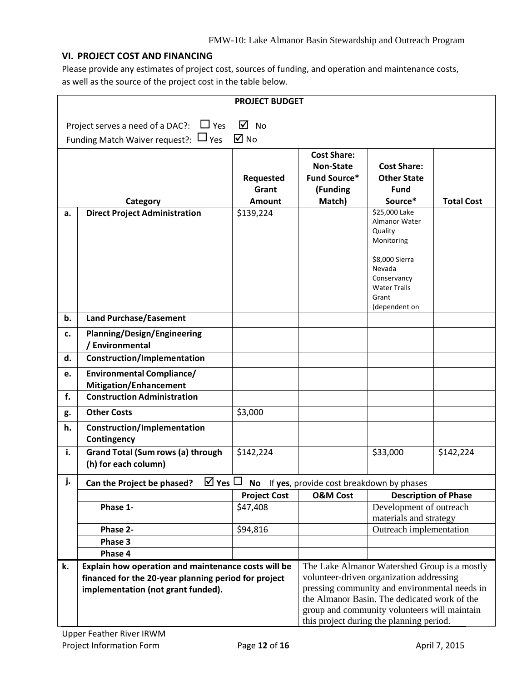### **VI. PROJECT COST AND FINANCING**

Please provide any estimates of project cost, sources of funding, and operation and maintenance costs, as well as the source of the project cost in the table below.

|    |                                                                   | <b>PROJECT BUDGET</b>      |                                                                               |                                                                                          |                   |
|----|-------------------------------------------------------------------|----------------------------|-------------------------------------------------------------------------------|------------------------------------------------------------------------------------------|-------------------|
|    |                                                                   |                            |                                                                               |                                                                                          |                   |
|    | $\overline{M}$ No<br>Project serves a need of a DAC?: $\Box$ Yes  |                            |                                                                               |                                                                                          |                   |
|    | Funding Match Waiver request?: ⊔ Yes                              | $\overline{\mathsf{M}}$ No |                                                                               |                                                                                          |                   |
|    |                                                                   |                            | <b>Cost Share:</b>                                                            |                                                                                          |                   |
|    |                                                                   |                            | <b>Non-State</b>                                                              | <b>Cost Share:</b>                                                                       |                   |
|    |                                                                   | Requested                  | <b>Fund Source*</b>                                                           | <b>Other State</b>                                                                       |                   |
|    |                                                                   | Grant                      | (Funding                                                                      | <b>Fund</b>                                                                              |                   |
|    | Category                                                          | Amount                     | Match)                                                                        | Source*                                                                                  | <b>Total Cost</b> |
| a. | <b>Direct Project Administration</b>                              | \$139,224                  |                                                                               | \$25,000 Lake<br>Almanor Water<br>Quality<br>Monitoring                                  |                   |
|    |                                                                   |                            |                                                                               | \$8,000 Sierra<br>Nevada<br>Conservancy<br><b>Water Trails</b><br>Grant<br>(dependent on |                   |
| b. | <b>Land Purchase/Easement</b>                                     |                            |                                                                               |                                                                                          |                   |
| c. | <b>Planning/Design/Engineering</b><br>/ Environmental             |                            |                                                                               |                                                                                          |                   |
| d. | Construction/Implementation                                       |                            |                                                                               |                                                                                          |                   |
| e. | <b>Environmental Compliance/</b><br><b>Mitigation/Enhancement</b> |                            |                                                                               |                                                                                          |                   |
| f. | <b>Construction Administration</b>                                |                            |                                                                               |                                                                                          |                   |
| g. | <b>Other Costs</b>                                                | \$3,000                    |                                                                               |                                                                                          |                   |
| h. | Construction/Implementation<br>Contingency                        |                            |                                                                               |                                                                                          |                   |
| i. | <b>Grand Total (Sum rows (a) through</b><br>(h) for each column)  | \$142,224                  |                                                                               | \$33,000                                                                                 | \$142,224         |
| j. | Can the Project be phased?                                        |                            | $\overline{\boxtimes}$ Yes $\Box$ No If yes, provide cost breakdown by phases |                                                                                          |                   |
|    |                                                                   | <b>Project Cost</b>        | <b>O&amp;M Cost</b>                                                           | <b>Description of Phase</b>                                                              |                   |
|    | Phase 1-                                                          | \$47,408                   |                                                                               | Development of outreach                                                                  |                   |
|    | Phase 2-                                                          | \$94,816                   |                                                                               | materials and strategy<br>Outreach implementation                                        |                   |
|    | Phase 3                                                           |                            |                                                                               |                                                                                          |                   |
|    | Phase 4                                                           |                            |                                                                               |                                                                                          |                   |
| k. | Explain how operation and maintenance costs will be               |                            |                                                                               | The Lake Almanor Watershed Group is a mostly                                             |                   |
|    | financed for the 20-year planning period for project              |                            |                                                                               | volunteer-driven organization addressing                                                 |                   |
|    | implementation (not grant funded).                                |                            |                                                                               | pressing community and environmental needs in                                            |                   |
|    |                                                                   |                            | the Almanor Basin. The dedicated work of the                                  |                                                                                          |                   |
|    |                                                                   |                            |                                                                               | group and community volunteers will maintain                                             |                   |
|    |                                                                   |                            |                                                                               | this project during the planning period.                                                 |                   |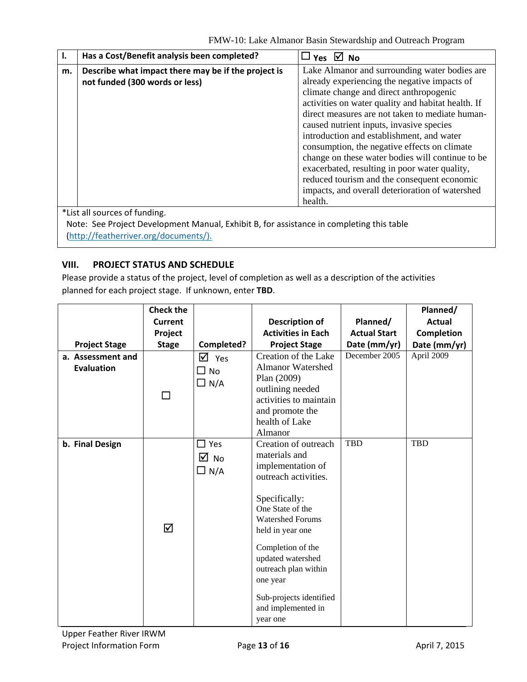|    | Has a Cost/Benefit analysis been completed?                                              | $\Box$ Yes $\Box$ No                                                                                                                                                                                                                                                                                                                                                                                                                                                                            |
|----|------------------------------------------------------------------------------------------|-------------------------------------------------------------------------------------------------------------------------------------------------------------------------------------------------------------------------------------------------------------------------------------------------------------------------------------------------------------------------------------------------------------------------------------------------------------------------------------------------|
| m. | Describe what impact there may be if the project is<br>not funded (300 words or less)    | Lake Almanor and surrounding water bodies are<br>already experiencing the negative impacts of<br>climate change and direct anthropogenic<br>activities on water quality and habitat health. If<br>direct measures are not taken to mediate human-<br>caused nutrient inputs, invasive species<br>introduction and establishment, and water<br>consumption, the negative effects on climate<br>change on these water bodies will continue to be<br>exacerbated, resulting in poor water quality, |
|    | *List all sources of funding.                                                            | reduced tourism and the consequent economic<br>impacts, and overall deterioration of watershed<br>health.                                                                                                                                                                                                                                                                                                                                                                                       |
|    | Note: See Project Development Manual, Exhibit B, for assistance in completing this table |                                                                                                                                                                                                                                                                                                                                                                                                                                                                                                 |

(http://featherriver.org/documents/).

## **VIII. PROJECT STATUS AND SCHEDULE**

Please provide a status of the project, level of completion as well as a description of the activities planned for each project stage. If unknown, enter **TBD**.

|                                 | <b>Check the</b><br>Current |                                               | <b>Description of</b>                                                                                                                                                                                                                                                                                             | Planned/            | Planned/<br><b>Actual</b> |
|---------------------------------|-----------------------------|-----------------------------------------------|-------------------------------------------------------------------------------------------------------------------------------------------------------------------------------------------------------------------------------------------------------------------------------------------------------------------|---------------------|---------------------------|
|                                 | Project                     |                                               | <b>Activities in Each</b>                                                                                                                                                                                                                                                                                         | <b>Actual Start</b> | <b>Completion</b>         |
| <b>Project Stage</b>            | <b>Stage</b>                | Completed?                                    | <b>Project Stage</b>                                                                                                                                                                                                                                                                                              | Date (mm/yr)        | Date (mm/yr)              |
| a. Assessment and<br>Evaluation | П                           | ☑<br>Yes<br>$\square$ No<br>$\Box$ N/A        | Creation of the Lake<br><b>Almanor Watershed</b><br>Plan (2009)<br>outlining needed<br>activities to maintain<br>and promote the<br>health of Lake<br>Almanor                                                                                                                                                     | December 2005       | April 2009                |
| b. Final Design                 | ☑                           | $\square$ Yes<br>$\boxtimes$ No<br>$\Box$ N/A | Creation of outreach<br>materials and<br>implementation of<br>outreach activities.<br>Specifically:<br>One State of the<br><b>Watershed Forums</b><br>held in year one<br>Completion of the<br>updated watershed<br>outreach plan within<br>one year<br>Sub-projects identified<br>and implemented in<br>year one | <b>TBD</b>          | <b>TBD</b>                |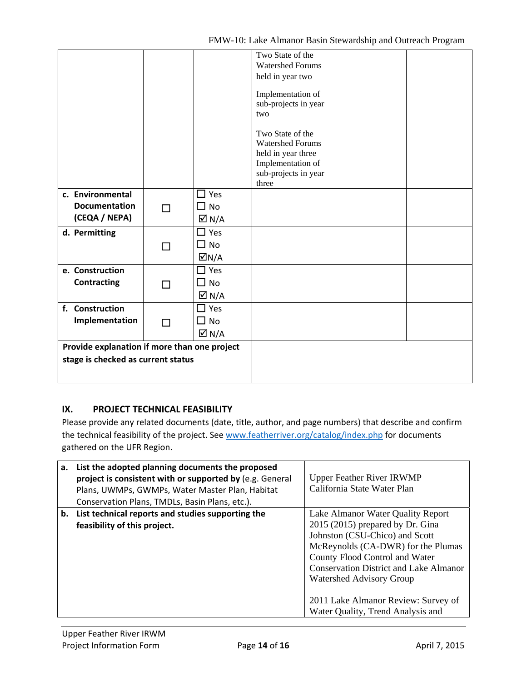|                                              |   |                            | Two State of the        |
|----------------------------------------------|---|----------------------------|-------------------------|
|                                              |   |                            | <b>Watershed Forums</b> |
|                                              |   |                            | held in year two        |
|                                              |   |                            | Implementation of       |
|                                              |   |                            | sub-projects in year    |
|                                              |   |                            | two                     |
|                                              |   |                            |                         |
|                                              |   |                            | Two State of the        |
|                                              |   |                            | <b>Watershed Forums</b> |
|                                              |   |                            | held in year three      |
|                                              |   |                            | Implementation of       |
|                                              |   |                            | sub-projects in year    |
|                                              |   |                            | three                   |
| c. Environmental                             |   | $\Box$ Yes                 |                         |
| <b>Documentation</b>                         | П | $\square$ No               |                         |
| (CEQA / NEPA)                                |   | $\overline{\triangle}$ N/A |                         |
| d. Permitting                                |   | $\Box$ Yes                 |                         |
|                                              | П | $\square$ No               |                         |
|                                              |   | $\overline{\triangle}$ N/A |                         |
| e. Construction                              |   | $\Box$ Yes                 |                         |
| <b>Contracting</b>                           | П | $\Box$ No                  |                         |
|                                              |   | $\overline{\triangle}$ N/A |                         |
| f. Construction                              |   | $\Box$ Yes                 |                         |
| Implementation                               | П | $\Box$ No                  |                         |
|                                              |   | $\overline{\boxtimes}$ N/A |                         |
| Provide explanation if more than one project |   |                            |                         |
| stage is checked as current status           |   |                            |                         |
|                                              |   |                            |                         |
|                                              |   |                            |                         |

# **IX. PROJECT TECHNICAL FEASIBILITY**

Please provide any related documents (date, title, author, and page numbers) that describe and confirm the technical feasibility of the project. See www.featherriver.org/catalog/index.php for documents gathered on the UFR Region.

| a. | List the adopted planning documents the proposed<br>project is consistent with or supported by (e.g. General<br>Plans, UWMPs, GWMPs, Water Master Plan, Habitat<br>Conservation Plans, TMDLs, Basin Plans, etc.). | <b>Upper Feather River IRWMP</b><br>California State Water Plan                                                                                                                                                                                                                                                                           |
|----|-------------------------------------------------------------------------------------------------------------------------------------------------------------------------------------------------------------------|-------------------------------------------------------------------------------------------------------------------------------------------------------------------------------------------------------------------------------------------------------------------------------------------------------------------------------------------|
|    | b. List technical reports and studies supporting the<br>feasibility of this project.                                                                                                                              | Lake Almanor Water Quality Report<br>$2015(2015)$ prepared by Dr. Gina<br>Johnston (CSU-Chico) and Scott<br>McReynolds (CA-DWR) for the Plumas<br>County Flood Control and Water<br><b>Conservation District and Lake Almanor</b><br>Watershed Advisory Group<br>2011 Lake Almanor Review: Survey of<br>Water Quality, Trend Analysis and |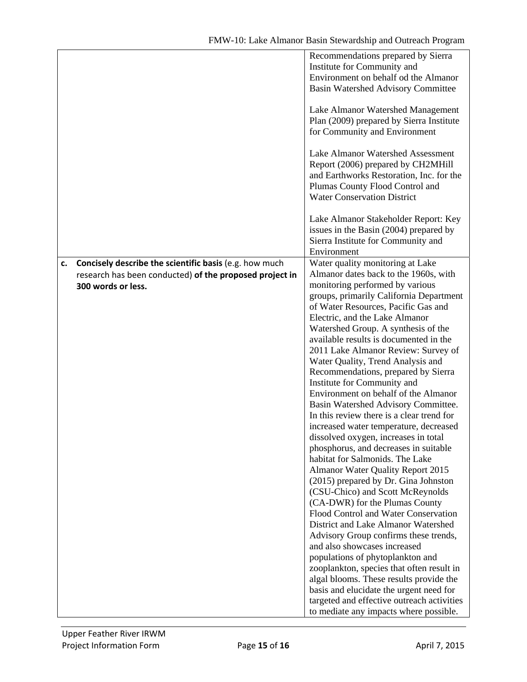|    |                                                         | Recommendations prepared by Sierra         |
|----|---------------------------------------------------------|--------------------------------------------|
|    |                                                         | Institute for Community and                |
|    |                                                         | Environment on behalf od the Almanor       |
|    |                                                         | <b>Basin Watershed Advisory Committee</b>  |
|    |                                                         |                                            |
|    |                                                         | Lake Almanor Watershed Management          |
|    |                                                         | Plan (2009) prepared by Sierra Institute   |
|    |                                                         |                                            |
|    |                                                         | for Community and Environment              |
|    |                                                         |                                            |
|    |                                                         | Lake Almanor Watershed Assessment          |
|    |                                                         | Report (2006) prepared by CH2MHill         |
|    |                                                         | and Earthworks Restoration, Inc. for the   |
|    |                                                         | Plumas County Flood Control and            |
|    |                                                         | <b>Water Conservation District</b>         |
|    |                                                         |                                            |
|    |                                                         | Lake Almanor Stakeholder Report: Key       |
|    |                                                         | issues in the Basin (2004) prepared by     |
|    |                                                         | Sierra Institute for Community and         |
|    |                                                         | Environment                                |
| c. | Concisely describe the scientific basis (e.g. how much  | Water quality monitoring at Lake           |
|    | research has been conducted) of the proposed project in | Almanor dates back to the 1960s, with      |
|    | 300 words or less.                                      | monitoring performed by various            |
|    |                                                         | groups, primarily California Department    |
|    |                                                         | of Water Resources, Pacific Gas and        |
|    |                                                         |                                            |
|    |                                                         | Electric, and the Lake Almanor             |
|    |                                                         | Watershed Group. A synthesis of the        |
|    |                                                         | available results is documented in the     |
|    |                                                         | 2011 Lake Almanor Review: Survey of        |
|    |                                                         | Water Quality, Trend Analysis and          |
|    |                                                         | Recommendations, prepared by Sierra        |
|    |                                                         | Institute for Community and                |
|    |                                                         | Environment on behalf of the Almanor       |
|    |                                                         | Basin Watershed Advisory Committee.        |
|    |                                                         | In this review there is a clear trend for  |
|    |                                                         | increased water temperature, decreased     |
|    |                                                         | dissolved oxygen, increases in total       |
|    |                                                         | phosphorus, and decreases in suitable      |
|    |                                                         | habitat for Salmonids. The Lake            |
|    |                                                         | <b>Almanor Water Quality Report 2015</b>   |
|    |                                                         | (2015) prepared by Dr. Gina Johnston       |
|    |                                                         | (CSU-Chico) and Scott McReynolds           |
|    |                                                         |                                            |
|    |                                                         | (CA-DWR) for the Plumas County             |
|    |                                                         | Flood Control and Water Conservation       |
|    |                                                         | District and Lake Almanor Watershed        |
|    |                                                         | Advisory Group confirms these trends,      |
|    |                                                         | and also showcases increased               |
|    |                                                         | populations of phytoplankton and           |
|    |                                                         | zooplankton, species that often result in  |
|    |                                                         | algal blooms. These results provide the    |
|    |                                                         | basis and elucidate the urgent need for    |
|    |                                                         | targeted and effective outreach activities |
|    |                                                         | to mediate any impacts where possible.     |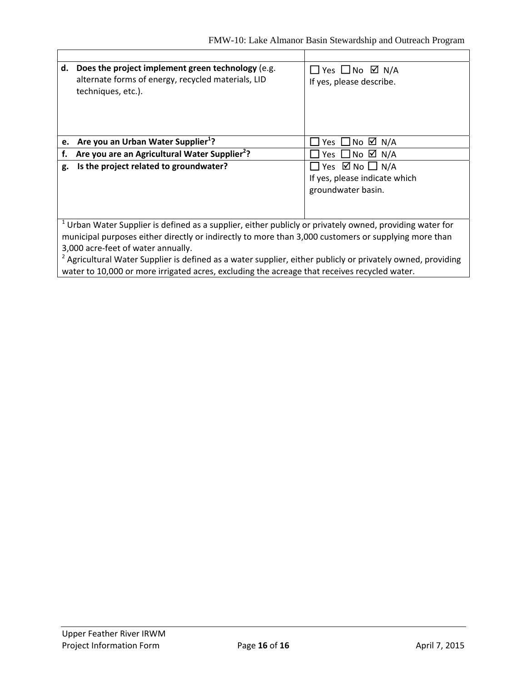Ť

| d.                                                                                                                                                                                                                                                                                                                                                                                                                                                                                 | Does the project implement green technology (e.g.<br>alternate forms of energy, recycled materials, LID<br>techniques, etc.). | $\Box$ Yes $\Box$ No $\boxtimes$ N/A<br>If yes, please describe.                            |
|------------------------------------------------------------------------------------------------------------------------------------------------------------------------------------------------------------------------------------------------------------------------------------------------------------------------------------------------------------------------------------------------------------------------------------------------------------------------------------|-------------------------------------------------------------------------------------------------------------------------------|---------------------------------------------------------------------------------------------|
|                                                                                                                                                                                                                                                                                                                                                                                                                                                                                    | e. Are you an Urban Water Supplier <sup>1</sup> ?                                                                             | Yes $\Box$ No $\Box$ N/A                                                                    |
| f.                                                                                                                                                                                                                                                                                                                                                                                                                                                                                 | Are you are an Agricultural Water Supplier <sup>2</sup> ?                                                                     | Yes $\Box$ No $\Box$ N/A                                                                    |
| g.                                                                                                                                                                                                                                                                                                                                                                                                                                                                                 | Is the project related to groundwater?                                                                                        | $\Box$ Yes $\boxtimes$ No $\Box$ N/A<br>If yes, please indicate which<br>groundwater basin. |
| $1$ Urban Water Supplier is defined as a supplier, either publicly or privately owned, providing water for<br>municipal purposes either directly or indirectly to more than 3,000 customers or supplying more than<br>3,000 acre-feet of water annually.<br><sup>2</sup> Agricultural Water Supplier is defined as a water supplier, either publicly or privately owned, providing<br>water to 10,000 or more irrigated acres, excluding the acreage that receives recycled water. |                                                                                                                               |                                                                                             |
|                                                                                                                                                                                                                                                                                                                                                                                                                                                                                    |                                                                                                                               |                                                                                             |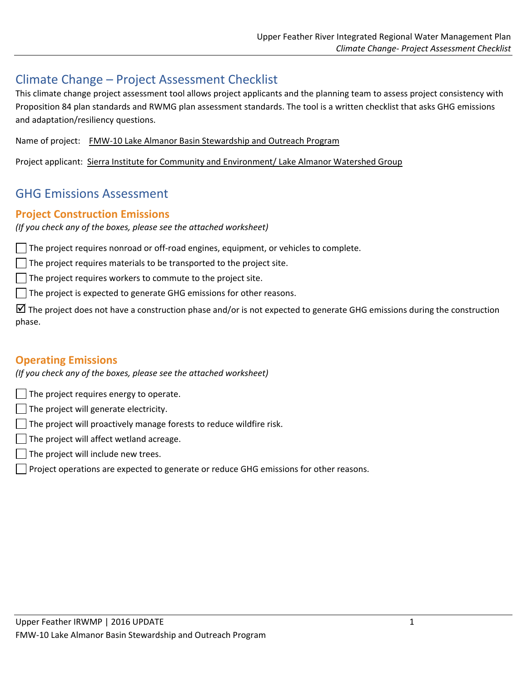# Climate Change – Project Assessment Checklist

This climate change project assessment tool allows project applicants and the planning team to assess project consistency with Proposition 84 plan standards and RWMG plan assessment standards. The tool is a written checklist that asks GHG emissions and adaptation/resiliency questions.

Name of project: FMW‐10 Lake Almanor Basin Stewardship and Outreach Program

Project applicant: Sierra Institute for Community and Environment/ Lake Almanor Watershed Group

# GHG Emissions Assessment

## **Project Construction Emissions**

*(If you check any of the boxes, please see the attached worksheet)*

The project requires nonroad or off‐road engines, equipment, or vehicles to complete.

 $\Box$  The project requires materials to be transported to the project site.

 $\Box$  The project requires workers to commute to the project site.

 $\Box$  The project is expected to generate GHG emissions for other reasons.

The project does not have a construction phase and/or is not expected to generate GHG emissions during the construction phase.

# **Operating Emissions**

*(If you check any of the boxes, please see the attached worksheet)*

 $\Box$  The project requires energy to operate.

- $\vert \ \vert$  The project will generate electricity.
- $\Box$  The project will proactively manage forests to reduce wildfire risk.
- $\Box$  The project will affect wetland acreage.
- $\Box$  The project will include new trees.
- $\Box$  Project operations are expected to generate or reduce GHG emissions for other reasons.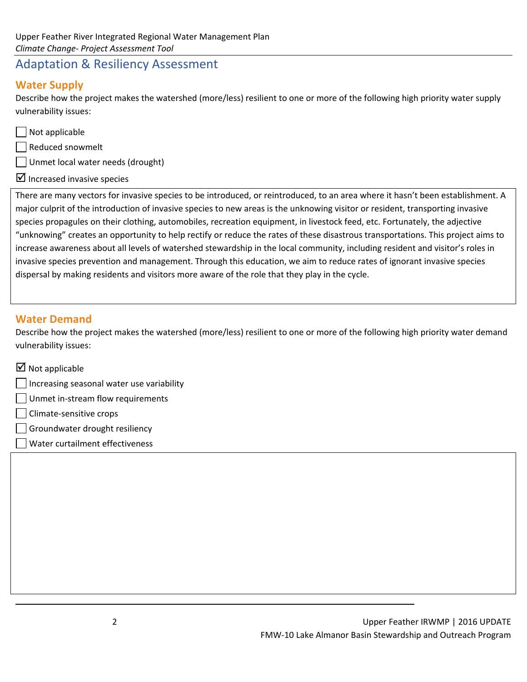# Adaptation & Resiliency Assessment

# **Water Supply**

Describe how the project makes the watershed (more/less) resilient to one or more of the following high priority water supply vulnerability issues:

Not applicable

Reduced snowmelt

Unmet local water needs (drought)

 $\boxtimes$  Increased invasive species

There are many vectors for invasive species to be introduced, or reintroduced, to an area where it hasn't been establishment. A major culprit of the introduction of invasive species to new areas is the unknowing visitor or resident, transporting invasive species propagules on their clothing, automobiles, recreation equipment, in livestock feed, etc. Fortunately, the adjective "unknowing" creates an opportunity to help rectify or reduce the rates of these disastrous transportations. This project aims to increase awareness about all levels of watershed stewardship in the local community, including resident and visitor's roles in invasive species prevention and management. Through this education, we aim to reduce rates of ignorant invasive species dispersal by making residents and visitors more aware of the role that they play in the cycle.

# **Water Demand**

Describe how the project makes the watershed (more/less) resilient to one or more of the following high priority water demand vulnerability issues:

<u> 1989 - Johann Stoff, deutscher Stoffen und der Stoffen und der Stoffen und der Stoffen und der Stoffen und d</u>

| $\boxtimes$ Not applicable                |
|-------------------------------------------|
| Increasing seasonal water use variability |
| Unmet in-stream flow requirements         |
| $\vert$ $\vert$ Climate-sensitive crops   |
|                                           |

- Groundwater drought resiliency
- Water curtailment effectiveness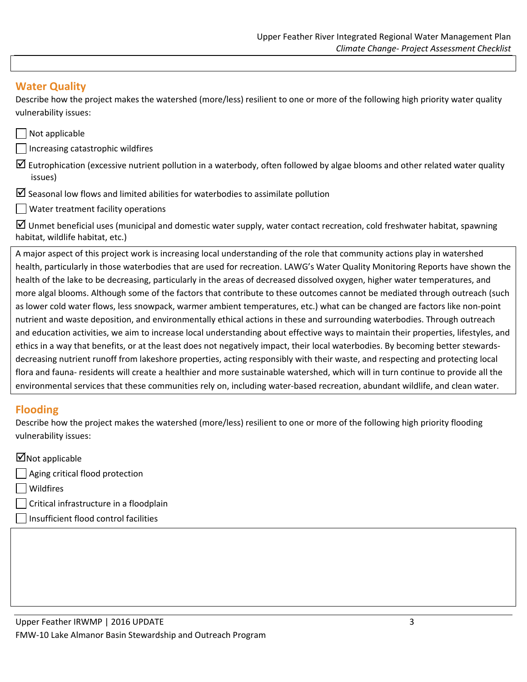# **Water Quality**

Describe how the project makes the watershed (more/less) resilient to one or more of the following high priority water quality vulnerability issues:

| $\vert$ Not applicable                                                                                                                      |  |
|---------------------------------------------------------------------------------------------------------------------------------------------|--|
| Increasing catastrophic wildfires                                                                                                           |  |
| $\triangledown$ Eutrophication (excessive nutrient pollution in a waterbody, often followed by algae blooms and other related water quality |  |
| issues)                                                                                                                                     |  |

- $\boxtimes$  Seasonal low flows and limited abilities for waterbodies to assimilate pollution
- Water treatment facility operations

 $\boxtimes$  Unmet beneficial uses (municipal and domestic water supply, water contact recreation, cold freshwater habitat, spawning habitat, wildlife habitat, etc.)

A major aspect of this project work is increasing local understanding of the role that community actions play in watershed health, particularly in those waterbodies that are used for recreation. LAWG's Water Quality Monitoring Reports have shown the health of the lake to be decreasing, particularly in the areas of decreased dissolved oxygen, higher water temperatures, and more algal blooms. Although some of the factors that contribute to these outcomes cannot be mediated through outreach (such as lower cold water flows, less snowpack, warmer ambient temperatures, etc.) what can be changed are factors like non‐point nutrient and waste deposition, and environmentally ethical actions in these and surrounding waterbodies. Through outreach and education activities, we aim to increase local understanding about effective ways to maintain their properties, lifestyles, and ethics in a way that benefits, or at the least does not negatively impact, their local waterbodies. By becoming better stewards‐ decreasing nutrient runoff from lakeshore properties, acting responsibly with their waste, and respecting and protecting local flora and fauna‐ residents will create a healthier and more sustainable watershed, which will in turn continue to provide all the environmental services that these communities rely on, including water‐based recreation, abundant wildlife, and clean water.

# **Flooding**

Describe how the project makes the watershed (more/less) resilient to one or more of the following high priority flooding vulnerability issues:

## $\blacksquare$ Not applicable

- Aging critical flood protection
- Wildfires
- Critical infrastructure in a floodplain
- Insufficient flood control facilities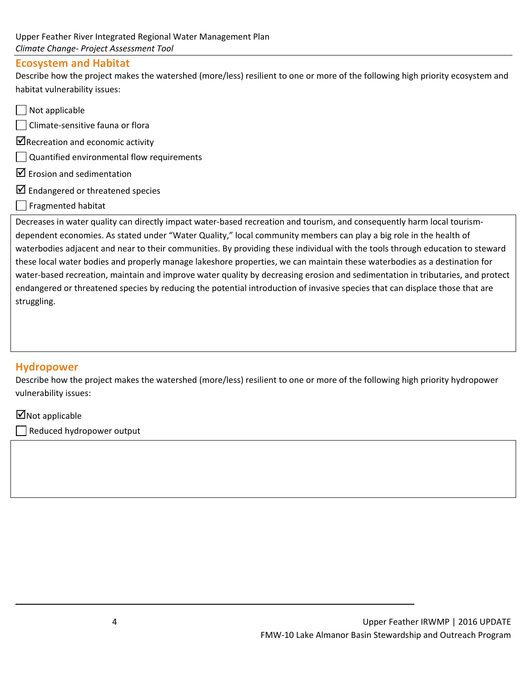### **Ecosystem and Habitat**

Describe how the project makes the watershed (more/less) resilient to one or more of the following high priority ecosystem and habitat vulnerability issues:

- $\Box$  Not applicable Climate‐sensitive fauna or flora  $\blacksquare$ Recreation and economic activity Quantified environmental flow requirements  $\boxtimes$  Erosion and sedimentation  $\boxtimes$  Endangered or threatened species
- Fragmented habitat

Decreases in water quality can directly impact water-based recreation and tourism, and consequently harm local tourismdependent economies. As stated under "Water Quality," local community members can play a big role in the health of waterbodies adjacent and near to their communities. By providing these individual with the tools through education to steward these local water bodies and properly manage lakeshore properties, we can maintain these waterbodies as a destination for water‐based recreation, maintain and improve water quality by decreasing erosion and sedimentation in tributaries, and protect endangered or threatened species by reducing the potential introduction of invasive species that can displace those that are struggling.

# **Hydropower**

Describe how the project makes the watershed (more/less) resilient to one or more of the following high priority hydropower vulnerability issues:

<u> 1989 - Johann Stoff, deutscher Stoffen und der Stoffen und der Stoffen und der Stoffen und der Stoffen und d</u>

## $\Box$  Not applicable

Reduced hydropower output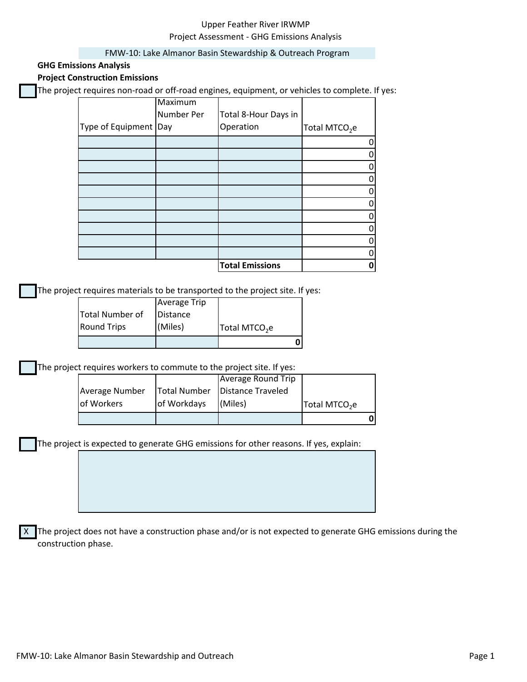### Upper Feather River IRWMP Project Assessment ‐ GHG Emissions Analysis

#### FMW‐10: Lake Almanor Basin Stewardship & Outreach Program

#### **GHG Emissions Analysis**

### **Project Construction Emissions**

The project requires non‐road or off‐road engines, equipment, or vehicles to complete. If yes:

|                         | Maximum    |                        |                           |
|-------------------------|------------|------------------------|---------------------------|
|                         | Number Per | Total 8-Hour Days in   |                           |
| Type of Equipment   Day |            | Operation              | Total MTCO <sub>2</sub> e |
|                         |            |                        |                           |
|                         |            |                        |                           |
|                         |            |                        |                           |
|                         |            |                        |                           |
|                         |            |                        |                           |
|                         |            |                        |                           |
|                         |            |                        |                           |
|                         |            |                        |                           |
|                         |            |                        |                           |
|                         |            |                        |                           |
|                         |            | <b>Total Emissions</b> |                           |

The project requires materials to be transported to the project site. If yes:

| <b>Round Trips</b> | (Miles)             | Total MTCO <sub>2</sub> e |  |
|--------------------|---------------------|---------------------------|--|
| Total Number of    | Distance            |                           |  |
|                    | <b>Average Trip</b> |                           |  |

The project requires workers to commute to the project site. If yes:

| <b>Average Number</b><br>of Workers | <b>Total Number</b><br>of Workdays | Distance Traveled<br>(Miles) | Total MTCO <sub>2</sub> e |  |
|-------------------------------------|------------------------------------|------------------------------|---------------------------|--|
|                                     |                                    |                              |                           |  |

The project is expected to generate GHG emissions for other reasons. If yes, explain:

X The project does not have a construction phase and/or is not expected to generate GHG emissions during the construction phase.